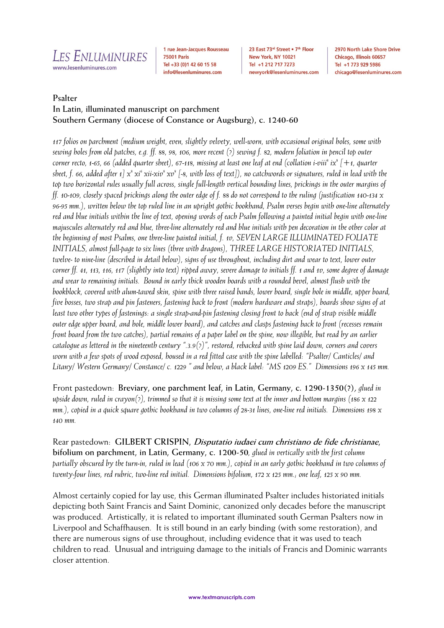

1 rue Jean-Jacques Rousseau **75001 Paris** Tel +33 (0)1 42 60 15 58 info@lesenluminures.com

23 East 73rd Street . 7th Floor New York, NY 10021 Tel +1 212 717 7273 newyork@lesenluminures.com 2970 North Lake Shore Drive Chicago, Illinois 60657 Tel +1 773 929 5986 chicago@lesenluminures.com

# **Psalter In Latin, illuminated manuscript on parchment Southern Germany (diocese of Constance or Augsburg), c. 1240-60**

*117 folios on parchment (medium weight, even, slightly velvety, well-worn, with occasional original holes, some with sewing holes from old patches, e.g. ff. 88, 98, 106, more recent (?) sewing f. 82, modern foliation in pencil top outer corner recto, 1-65, 66 (added quarter sheet), 67-118, missing at least one leaf at end (collation i-viii<sup>8</sup> ix8 [+1, quarter*  sheet, f. 66, added after 1] x<sup>8</sup> xi<sup>6</sup> xii-xiv<sup>8</sup> xv<sup>8</sup> [-8, with loss of text]), no catchwords or signatures, ruled in lead with the *top two horizontal rules usually full across, single full-length vertical bounding lines, prickings in the outer margins of ff. 10-109, closely spaced prickings along the outer edge of f. 88 do not correspond to the ruling (justification 140-134 x 96-95 mm.), written below the top ruled line in an upright gothic bookhand, Psalm verses begin with one-line alternately red and blue initials within the line of text, opening words of each Psalm following a painted initial begin with one-line majuscules alternately red and blue, three-line alternately red and blue initials with pen decoration in the other color at the beginning of most Psalms, one three-line painted initial, f. 1v, SEVEN LARGE ILLUMINATED FOLIATE INITIALS, almost full-page to six lines (three with dragons), THREE LARGE HISTORIATED INITIALS, twelve- to nine-line (described in detail below), signs of use throughout, including dirt and wear to text, lower outer corner ff. 41, 113, 116, 117 (slightly into text) ripped away, severe damage to initials ff. 1 and 1v, some degree of damage and wear to remaining initials. Bound in early thick wooden boards with a rounded bevel, almost flush with the bookblock, covered with alum-tawed skin, spine with three raised bands, lower board, single hole in middle, upper board, five bosses, two strap and pin fasteners, fastening back to front (modern hardware and straps), boards show signs of at least two other types of fastenings: a single strap-and-pin fastening closing front to back (end of strap visible middle outer edge upper board, and hole, middle lower board), and catches and clasps fastening back to front (recesses remain front board from the two catches), partial remains of a paper label on the spine, now illegible, but read by an earlier catalogue as lettered in the nineteenth century ".3.9(?)", restored, rebacked with spine laid down, corners and covers worn with a few spots of wood exposed, housed in a red fitted case with the spine labelled: "Psalter/ Canticles/ and Litany/ Western Germany/ Constance/ c. 1229 " and below, a black label: "MS 1209 ES." Dimensions 196 x 145 mm.*

Front pastedown:**Breviary, one parchment leaf, in Latin, Germany, c. 1290-1350(?),** *glued in upside down, ruled in crayon(?), trimmed so that it is missing some text at the inner and bottom margins (186 x 122 mm.), copied in a quick square gothic bookhand in two columns of 28-31 lines, one-line red initials. Dimensions 198 x 140 mm.*

Rear pastedown: **GILBERT CRISPIN, Disputatio iudaei cum christiano de fide christianae, bifolium on parchment, in Latin, Germany, c. 1200-50***, glued in vertically with the first column partially obscured by the turn-in, ruled in lead (106 x 70 mm.), copied in an early gothic bookhand in two columns of twenty-four lines, red rubric, two-line red initial. Dimensions bifolium, 172 x 125 mm.; one leaf, 125 x 90 mm.*

Almost certainly copied for lay use, this German illuminated Psalter includes historiated initials depicting both Saint Francis and Saint Dominic, canonized only decades before the manuscript was produced. Artistically, it is related to important illuminated south German Psalters now in Liverpool and Schaffhausen. It is still bound in an early binding (with some restoration), and there are numerous signs of use throughout, including evidence that it was used to teach children to read. Unusual and intriguing damage to the initials of Francis and Dominic warrants closer attention.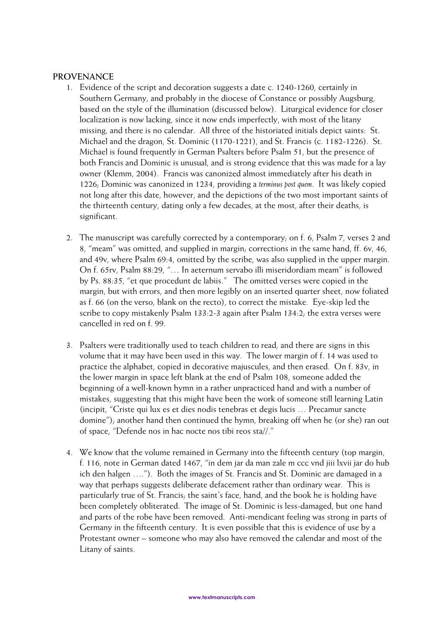#### **PROVENANCE**

- 1. Evidence of the script and decoration suggests a date c. 1240-1260, certainly in Southern Germany, and probably in the diocese of Constance or possibly Augsburg, based on the style of the illumination (discussed below). Liturgical evidence for closer localization is now lacking, since it now ends imperfectly, with most of the litany missing, and there is no calendar. All three of the historiated initials depict saints: St. Michael and the dragon, St. Dominic (1170-1221), and St. Francis (c. 1182-1226). St. Michael is found frequently in German Psalters before Psalm 51, but the presence of both Francis and Dominic is unusual, and is strong evidence that this was made for a lay owner (Klemm, 2004). Francis was canonized almost immediately after his death in 1226; Dominic was canonized in 1234, providing a *terminus post quem*. It was likely copied not long after this date, however, and the depictions of the two most important saints of the thirteenth century, dating only a few decades, at the most, after their deaths, is significant.
- 2. The manuscript was carefully corrected by a contemporary; on f. 6, Psalm 7, verses 2 and 8, "meam" was omitted, and supplied in margin; corrections in the same hand, ff. 6v, 46, and 49v, where Psalm 69:4, omitted by the scribe, was also supplied in the upper margin. On f. 65rv, Psalm 88:29, "… In aeternum servabo illi miseridordiam meam" is followed by Ps. 88:35, "et que procedunt de labiis." The omitted verses were copied in the margin, but with errors, and then more legibly on an inserted quarter sheet, now foliated as f. 66 (on the verso, blank on the recto), to correct the mistake. Eye-skip led the scribe to copy mistakenly Psalm 133:2-3 again after Psalm 134:2; the extra verses were cancelled in red on f. 99.
- 3. Psalters were traditionally used to teach children to read, and there are signs in this volume that it may have been used in this way. The lower margin of f. 14 was used to practice the alphabet, copied in decorative majuscules, and then erased. On f. 83v, in the lower margin in space left blank at the end of Psalm 108, someone added the beginning of a well-known hymn in a rather unpracticed hand and with a number of mistakes, suggesting that this might have been the work of someone still learning Latin (incipit, "Criste qui lux es et dies nodis tenebras et degis lucis … Precamur sancte domine"); another hand then continued the hymn, breaking off when he (or she) ran out of space, "Defende nos in hac nocte nos tibi reos sta//."
- 4. We know that the volume remained in Germany into the fifteenth century (top margin, f. 116, note in German dated 1467, "in dem jar da man zale m ccc vnd jiii lxvii jar do hub ich den halgen …."). Both the images of St. Francis and St. Dominic are damaged in a way that perhaps suggests deliberate defacement rather than ordinary wear. This is particularly true of St. Francis; the saint's face, hand, and the book he is holding have been completely obliterated. The image of St. Dominic is less-damaged, but one hand and parts of the robe have been removed. Anti-mendicant feeling was strong in parts of Germany in the fifteenth century. It is even possible that this is evidence of use by a Protestant owner – someone who may also have removed the calendar and most of the Litany of saints.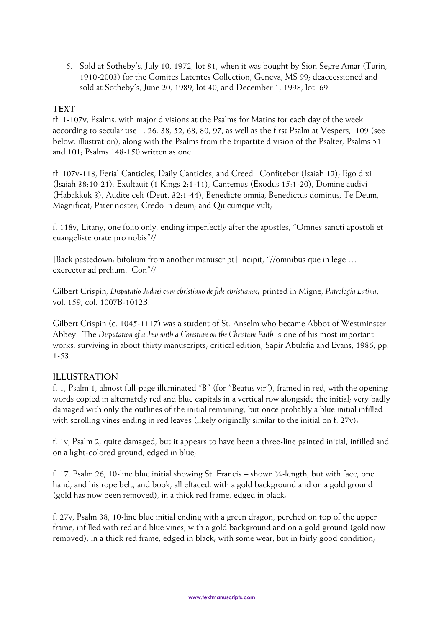5. Sold at Sotheby's, July 10, 1972, lot 81, when it was bought by Sion Segre Amar (Turin, 1910-2003) for the Comites Latentes Collection, Geneva, MS 99; deaccessioned and sold at Sotheby's, June 20, 1989, lot 40, and December 1, 1998, lot. 69.

# **TEXT**

ff. 1-107v, Psalms, with major divisions at the Psalms for Matins for each day of the week according to secular use 1, 26, 38, 52, 68, 80, 97, as well as the first Psalm at Vespers, 109 (see below, illustration), along with the Psalms from the tripartite division of the Psalter, Psalms 51 and 101; Psalms 148-150 written as one.

ff. 107v-118, Ferial Canticles, Daily Canticles, and Creed: Confitebor (Isaiah 12); Ego dixi (Isaiah 38:10-21); Exultauit (1 Kings 2:1-11); Cantemus (Exodus 15:1-20); Domine audivi (Habakkuk 3); Audite celi (Deut. 32:1-44); Benedicte omnia; Benedictus dominus; Te Deum; Magnificat; Pater noster; Credo in deum; and Quicumque vult;

f. 118v, Litany, one folio only, ending imperfectly after the apostles, "Omnes sancti apostoli et euangeliste orate pro nobis"//

[Back pastedown; bifolium from another manuscript] incipit, "//omnibus que in lege … exercetur ad prelium. Con"//

Gilbert Crispin, *Disputatio Judaei cum christiano de fide christianae;* printed in Migne, *Patrologia Latina*, vol. 159, col. 1007B-1012B.

Gilbert Crispin (c. 1045-1117) was a student of St. Anselm who became Abbot of Westminster Abbey. The *Disputation of a Jew with a Christian on the Christian Faith* is one of his most important works, surviving in about thirty manuscripts; critical edition, Sapir Abulafia and Evans, 1986, pp. 1-53.

## **ILLUSTRATION**

f. 1, Psalm 1, almost full-page illuminated "B" (for "Beatus vir"), framed in red, with the opening words copied in alternately red and blue capitals in a vertical row alongside the initial; very badly damaged with only the outlines of the initial remaining, but once probably a blue initial infilled with scrolling vines ending in red leaves (likely originally similar to the initial on f. 27v);

f. 1v, Psalm 2, quite damaged, but it appears to have been a three-line painted initial, infilled and on a light-colored ground, edged in blue;

f. 17, Psalm 26, 10-line blue initial showing St. Francis – shown ¾-length, but with face, one hand, and his rope belt, and book, all effaced, with a gold background and on a gold ground (gold has now been removed), in a thick red frame, edged in black;

f. 27v, Psalm 38, 10-line blue initial ending with a green dragon, perched on top of the upper frame, infilled with red and blue vines, with a gold background and on a gold ground (gold now removed), in a thick red frame, edged in black; with some wear, but in fairly good condition;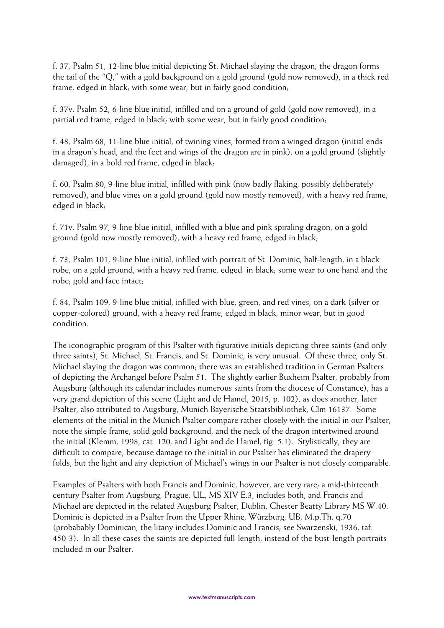f. 37, Psalm 51, 12-line blue initial depicting St. Michael slaying the dragon; the dragon forms the tail of the "Q," with a gold background on a gold ground (gold now removed), in a thick red frame, edged in black; with some wear, but in fairly good condition;

f. 37v, Psalm 52, 6-line blue initial, infilled and on a ground of gold (gold now removed), in a partial red frame, edged in black; with some wear, but in fairly good condition;

f. 48, Psalm 68, 11-line blue initial, of twining vines, formed from a winged dragon (initial ends in a dragon's head, and the feet and wings of the dragon are in pink), on a gold ground (slightly damaged), in a bold red frame, edged in black;

f. 60, Psalm 80, 9-line blue initial, infilled with pink (now badly flaking, possibly deliberately removed), and blue vines on a gold ground (gold now mostly removed), with a heavy red frame, edged in black;

f. 71v, Psalm 97, 9-line blue initial, infilled with a blue and pink spiraling dragon, on a gold ground (gold now mostly removed), with a heavy red frame, edged in black;

f. 73, Psalm 101, 9-line blue initial, infilled with portrait of St. Dominic, half-length, in a black robe, on a gold ground, with a heavy red frame, edged in black; some wear to one hand and the robe; gold and face intact;

f. 84, Psalm 109, 9-line blue initial, infilled with blue, green, and red vines, on a dark (silver or copper-colored) ground, with a heavy red frame, edged in black, minor wear, but in good condition.

The iconographic program of this Psalter with figurative initials depicting three saints (and only three saints), St. Michael, St. Francis, and St. Dominic, is very unusual. Of these three, only St. Michael slaying the dragon was common; there was an established tradition in German Psalters of depicting the Archangel before Psalm 51. The slightly earlier Buxheim Psalter, probably from Augsburg (although its calendar includes numerous saints from the diocese of Constance), has a very grand depiction of this scene (Light and de Hamel, 2015, p. 102), as does another, later Psalter, also attributed to Augsburg, Munich Bayerische Staatsbibliothek, Clm 16137. Some elements of the initial in the Munich Psalter compare rather closely with the initial in our Psalter; note the simple frame, solid gold background, and the neck of the dragon intertwined around the initial (Klemm, 1998, cat. 120, and Light and de Hamel, fig. 5.1). Stylistically, they are difficult to compare, because damage to the initial in our Psalter has eliminated the drapery folds, but the light and airy depiction of Michael's wings in our Psalter is not closely comparable.

Examples of Psalters with both Francis and Dominic, however, are very rare; a mid-thirteenth century Psalter from Augsburg, Prague, UL, MS XIV E.3, includes both, and Francis and Michael are depicted in the related Augsburg Psalter, Dublin, Chester Beatty Library MS W.40. Dominic is depicted in a Psalter from the Upper Rhine, Würzburg, UB, M.p.Th. q.70 (probabably Dominican, the litany includes Dominic and Francis; see Swarzenski, 1936, taf. 450-3). In all these cases the saints are depicted full-length, instead of the bust-length portraits included in our Psalter.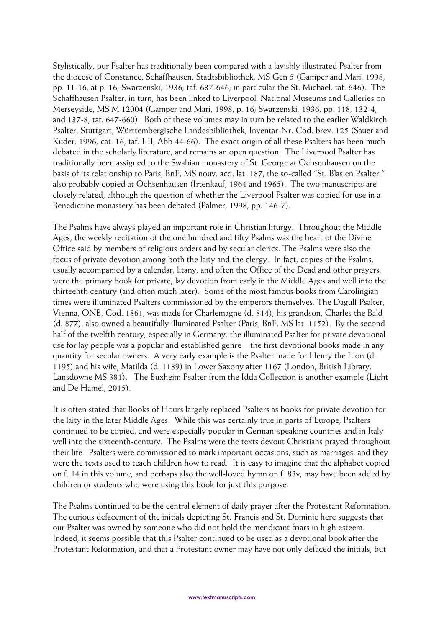Stylistically, our Psalter has traditionally been compared with a lavishly illustrated Psalter from the diocese of Constance, Schaffhausen, Stadtsbibliothek, MS Gen 5 (Gamper and Mari, 1998, pp. 11-16, at p. 16; Swarzenski, 1936, taf. 637-646, in particular the St. Michael, taf. 646). The Schaffhausen Psalter, in turn, has been linked to Liverpool, National Museums and Galleries on Merseyside, MS M 12004 (Gamper and Mari, 1998, p. 16; Swarzenski, 1936, pp. 118, 132-4, and 137-8, taf. 647-660). Both of these volumes may in turn be related to the earlier Waldkirch Psalter, Stuttgart, Württembergische Landesbibliothek, Inventar-Nr. Cod. brev. 125 (Sauer and Kuder, 1996, cat. 16, taf. I-II, Abb 44-66). The exact origin of all these Psalters has been much debated in the scholarly literature, and remains an open question. The Liverpool Psalter has traditionally been assigned to the Swabian monastery of St. George at Ochsenhausen on the basis of its relationship to Paris, BnF, MS nouv. acq. lat. 187, the so-called "St. Blasien Psalter," also probably copied at Ochsenhausen (Irtenkauf, 1964 and 1965). The two manuscripts are closely related, although the question of whether the Liverpool Psalter was copied for use in a Benedictine monastery has been debated (Palmer, 1998, pp. 146-7).

The Psalms have always played an important role in Christian liturgy. Throughout the Middle Ages, the weekly recitation of the one hundred and fifty Psalms was the heart of the Divine Office said by members of religious orders and by secular clerics. The Psalms were also the focus of private devotion among both the laity and the clergy. In fact, copies of the Psalms, usually accompanied by a calendar, litany, and often the Office of the Dead and other prayers, were the primary book for private, lay devotion from early in the Middle Ages and well into the thirteenth century (and often much later). Some of the most famous books from Carolingian times were illuminated Psalters commissioned by the emperors themselves. The Dagulf Psalter, Vienna, ONB, Cod. 1861, was made for Charlemagne (d. 814); his grandson, Charles the Bald (d. 877), also owned a beautifully illuminated Psalter (Paris, BnF, MS lat. 1152). By the second half of the twelfth century, especially in Germany, the illuminated Psalter for private devotional use for lay people was a popular and established genre – the first devotional books made in any quantity for secular owners. A very early example is the Psalter made for Henry the Lion (d. 1195) and his wife, Matilda (d. 1189) in Lower Saxony after 1167 (London, British Library, Lansdowne MS 381). The Buxheim Psalter from the Idda Collection is another example (Light and De Hamel, 2015).

It is often stated that Books of Hours largely replaced Psalters as books for private devotion for the laity in the later Middle Ages. While this was certainly true in parts of Europe, Psalters continued to be copied, and were especially popular in German-speaking countries and in Italy well into the sixteenth-century. The Psalms were the texts devout Christians prayed throughout their life. Psalters were commissioned to mark important occasions, such as marriages, and they were the texts used to teach children how to read. It is easy to imagine that the alphabet copied on f. 14 in this volume, and perhaps also the well-loved hymn on f. 83v, may have been added by children or students who were using this book for just this purpose.

The Psalms continued to be the central element of daily prayer after the Protestant Reformation. The curious defacement of the initials depicting St. Francis and St. Dominic here suggests that our Psalter was owned by someone who did not hold the mendicant friars in high esteem. Indeed, it seems possible that this Psalter continued to be used as a devotional book after the Protestant Reformation, and that a Protestant owner may have not only defaced the initials, but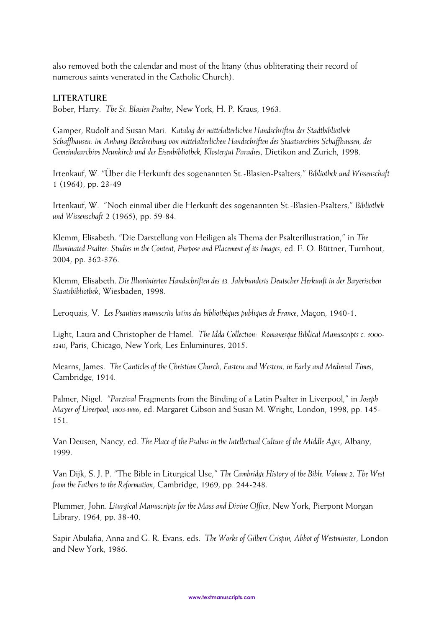also removed both the calendar and most of the litany (thus obliterating their record of numerous saints venerated in the Catholic Church).

## **LITERATURE**

Bober, Harry. *The St. Blasien Psalter*, New York, H. P. Kraus, 1963.

Gamper, Rudolf and Susan Mari. *Katalog der mittelalterlichen Handschriften der Stadtbibliothek Schaffhausen: im Anhang Beschreibung von mittelalterlichen Handschriften des Staatsarchivs Schaffhausen, des Gemeindearchivs Neunkirch und der Eisenbibliothek, Klostergut Paradies*, Dietikon and Zurich, 1998.

Irtenkauf, W. "Über die Herkunft des sogenannten St.-Blasien-Psalters," *Bibliothek und Wissenschaft* 1 (1964), pp. 23-49

Irtenkauf, W. "Noch einmal über die Herkunft des sogenannten St.-Blasien-Psalters," *Bibliothek und Wissenschaft* 2 (1965), pp. 59-84.

Klemm, Elisabeth. "Die Darstellung von Heiligen als Thema der Psalterillustration," in *The Illuminated Psalter*: *Studies in the Content, Purpose and Placement of its Images*, ed. F. O. Büttner, Turnhout, 2004, pp. 362-376.

Klemm, Elisabeth. *Die Illuminierten Handschriften des 13. Jahrhunderts Deutscher Herkunft in der Bayerischen Staatsbibliothek*, Wiesbaden, 1998.

Leroquais, V. *Les Psautiers manuscrits latins des bibliothèques publiques de France*, Maçon, 1940-1.

Light, Laura and Christopher de Hamel. *The Idda Collection: Romanesque Biblical Manuscripts c. 1000- 1240*, Paris, Chicago, New York, Les Enluminures, 2015.

Mearns, James. *The Canticles of the Christian Church, Eastern and Western, in Early and Medieval Times*, Cambridge, 1914.

Palmer, Nigel. "*Parzival* Fragments from the Binding of a Latin Psalter in Liverpool," in *Joseph Mayer of Liverpool, 1803-1886*, ed. Margaret Gibson and Susan M. Wright, London, 1998, pp. 145- 151.

Van Deusen, Nancy, ed. *The Place of the Psalms in the Intellectual Culture of the Middle Ages*, Albany, 1999.

Van Dijk, S. J. P. "The Bible in Liturgical Use," *The Cambridge History of the Bible. Volume 2, The West from the Fathers to the Reformation*, Cambridge, 1969, pp. 244-248.

Plummer, John. *Liturgical Manuscripts for the Mass and Divine Office*, New York, Pierpont Morgan Library, 1964, pp. 38-40.

Sapir Abulafia, Anna and G. R. Evans, eds. *The Works of Gilbert Crispin, Abbot of Westminster*, London and New York, 1986.